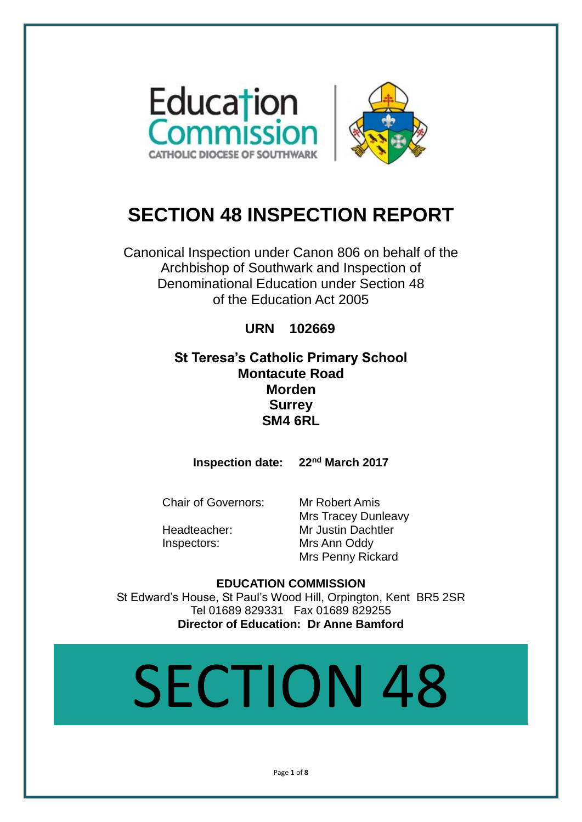

# **SECTION 48 INSPECTION REPORT**

Canonical Inspection under Canon 806 on behalf of the Archbishop of Southwark and Inspection of Denominational Education under Section 48 of the Education Act 2005

# **URN 102669**

# **St Teresa's Catholic Primary School Montacute Road Morden Surrey SM4 6RL**

**Inspection date: 22nd March 2017**

Chair of Governors: Mr Robert Amis

Mrs Tracey Dunleavy Headteacher: Mr Justin Dachtler Inspectors: Mrs Ann Oddy Mrs Penny Rickard

**EDUCATION COMMISSION** St Edward's House, St Paul's Wood Hill, Orpington, Kent BR5 2SR Tel 01689 829331 Fax 01689 829255 **Director of Education: Dr Anne Bamford**

# SECTION 48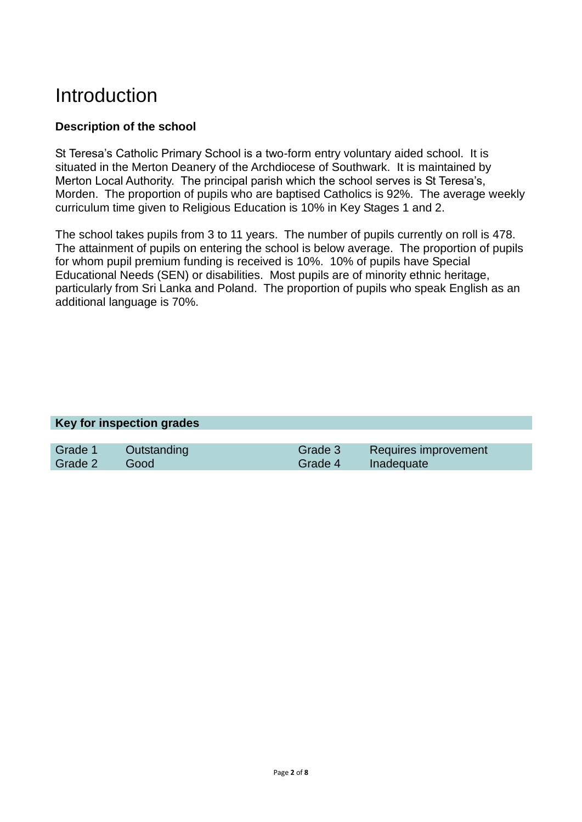# **Introduction**

# **Description of the school**

St Teresa's Catholic Primary School is a two-form entry voluntary aided school. It is situated in the Merton Deanery of the Archdiocese of Southwark. It is maintained by Merton Local Authority. The principal parish which the school serves is St Teresa's, Morden. The proportion of pupils who are baptised Catholics is 92%. The average weekly curriculum time given to Religious Education is 10% in Key Stages 1 and 2.

The school takes pupils from 3 to 11 years. The number of pupils currently on roll is 478. The attainment of pupils on entering the school is below average. The proportion of pupils for whom pupil premium funding is received is 10%. 10% of pupils have Special Educational Needs (SEN) or disabilities. Most pupils are of minority ethnic heritage, particularly from Sri Lanka and Poland. The proportion of pupils who speak English as an additional language is 70%.

#### **Key for inspection grades**

| Grade 1      | <b>Cutstanding</b> |                    | Grade 3 Requires improvement |
|--------------|--------------------|--------------------|------------------------------|
| Grade 2 Good |                    | Grade 4 Inadequate |                              |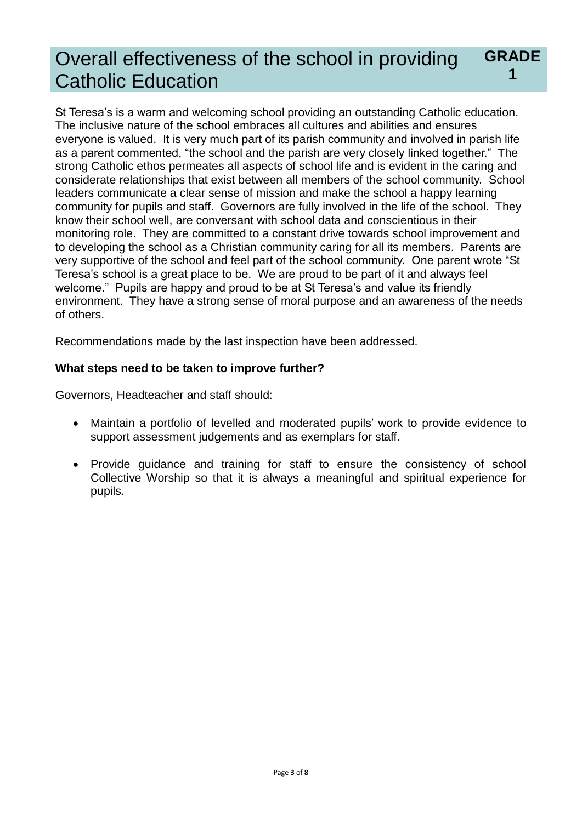#### Overall effectiveness of the school in providing Catholic Education **GRADE 1**

St Teresa's is a warm and welcoming school providing an outstanding Catholic education. The inclusive nature of the school embraces all cultures and abilities and ensures everyone is valued. It is very much part of its parish community and involved in parish life as a parent commented, "the school and the parish are very closely linked together." The strong Catholic ethos permeates all aspects of school life and is evident in the caring and considerate relationships that exist between all members of the school community. School leaders communicate a clear sense of mission and make the school a happy learning community for pupils and staff. Governors are fully involved in the life of the school. They know their school well, are conversant with school data and conscientious in their monitoring role. They are committed to a constant drive towards school improvement and to developing the school as a Christian community caring for all its members. Parents are very supportive of the school and feel part of the school community. One parent wrote "St Teresa's school is a great place to be. We are proud to be part of it and always feel welcome." Pupils are happy and proud to be at St Teresa's and value its friendly environment. They have a strong sense of moral purpose and an awareness of the needs of others.

Recommendations made by the last inspection have been addressed.

# **What steps need to be taken to improve further?**

Governors, Headteacher and staff should:

- Maintain a portfolio of levelled and moderated pupils' work to provide evidence to support assessment judgements and as exemplars for staff.
- Provide guidance and training for staff to ensure the consistency of school Collective Worship so that it is always a meaningful and spiritual experience for pupils.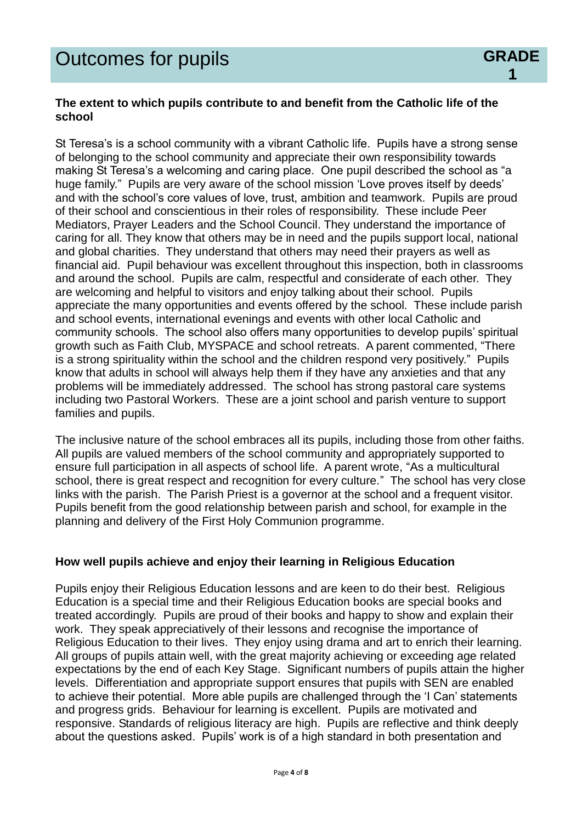## **The extent to which pupils contribute to and benefit from the Catholic life of the school**

**1**

St Teresa's is a school community with a vibrant Catholic life. Pupils have a strong sense of belonging to the school community and appreciate their own responsibility towards making St Teresa's a welcoming and caring place. One pupil described the school as "a huge family." Pupils are very aware of the school mission 'Love proves itself by deeds' and with the school's core values of love, trust, ambition and teamwork. Pupils are proud of their school and conscientious in their roles of responsibility. These include Peer Mediators, Prayer Leaders and the School Council. They understand the importance of caring for all. They know that others may be in need and the pupils support local, national and global charities. They understand that others may need their prayers as well as financial aid. Pupil behaviour was excellent throughout this inspection, both in classrooms and around the school. Pupils are calm, respectful and considerate of each other. They are welcoming and helpful to visitors and enjoy talking about their school. Pupils appreciate the many opportunities and events offered by the school. These include parish and school events, international evenings and events with other local Catholic and community schools. The school also offers many opportunities to develop pupils' spiritual growth such as Faith Club, MYSPACE and school retreats. A parent commented, "There is a strong spirituality within the school and the children respond very positively." Pupils know that adults in school will always help them if they have any anxieties and that any problems will be immediately addressed. The school has strong pastoral care systems including two Pastoral Workers. These are a joint school and parish venture to support families and pupils.

The inclusive nature of the school embraces all its pupils, including those from other faiths. All pupils are valued members of the school community and appropriately supported to ensure full participation in all aspects of school life. A parent wrote, "As a multicultural school, there is great respect and recognition for every culture." The school has very close links with the parish. The Parish Priest is a governor at the school and a frequent visitor. Pupils benefit from the good relationship between parish and school, for example in the planning and delivery of the First Holy Communion programme.

## **How well pupils achieve and enjoy their learning in Religious Education**

Pupils enjoy their Religious Education lessons and are keen to do their best. Religious Education is a special time and their Religious Education books are special books and treated accordingly. Pupils are proud of their books and happy to show and explain their work. They speak appreciatively of their lessons and recognise the importance of Religious Education to their lives. They enjoy using drama and art to enrich their learning. All groups of pupils attain well, with the great majority achieving or exceeding age related expectations by the end of each Key Stage. Significant numbers of pupils attain the higher levels. Differentiation and appropriate support ensures that pupils with SEN are enabled to achieve their potential. More able pupils are challenged through the 'I Can' statements and progress grids. Behaviour for learning is excellent. Pupils are motivated and responsive. Standards of religious literacy are high. Pupils are reflective and think deeply about the questions asked. Pupils' work is of a high standard in both presentation and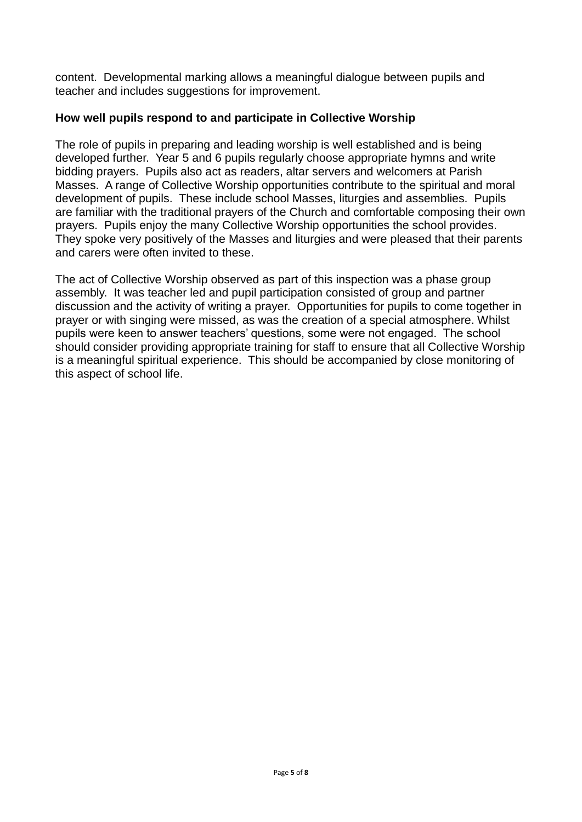content. Developmental marking allows a meaningful dialogue between pupils and teacher and includes suggestions for improvement.

# **How well pupils respond to and participate in Collective Worship**

The role of pupils in preparing and leading worship is well established and is being developed further. Year 5 and 6 pupils regularly choose appropriate hymns and write bidding prayers. Pupils also act as readers, altar servers and welcomers at Parish Masses. A range of Collective Worship opportunities contribute to the spiritual and moral development of pupils. These include school Masses, liturgies and assemblies. Pupils are familiar with the traditional prayers of the Church and comfortable composing their own prayers. Pupils enjoy the many Collective Worship opportunities the school provides. They spoke very positively of the Masses and liturgies and were pleased that their parents and carers were often invited to these.

The act of Collective Worship observed as part of this inspection was a phase group assembly. It was teacher led and pupil participation consisted of group and partner discussion and the activity of writing a prayer. Opportunities for pupils to come together in prayer or with singing were missed, as was the creation of a special atmosphere. Whilst pupils were keen to answer teachers' questions, some were not engaged. The school should consider providing appropriate training for staff to ensure that all Collective Worship is a meaningful spiritual experience. This should be accompanied by close monitoring of this aspect of school life.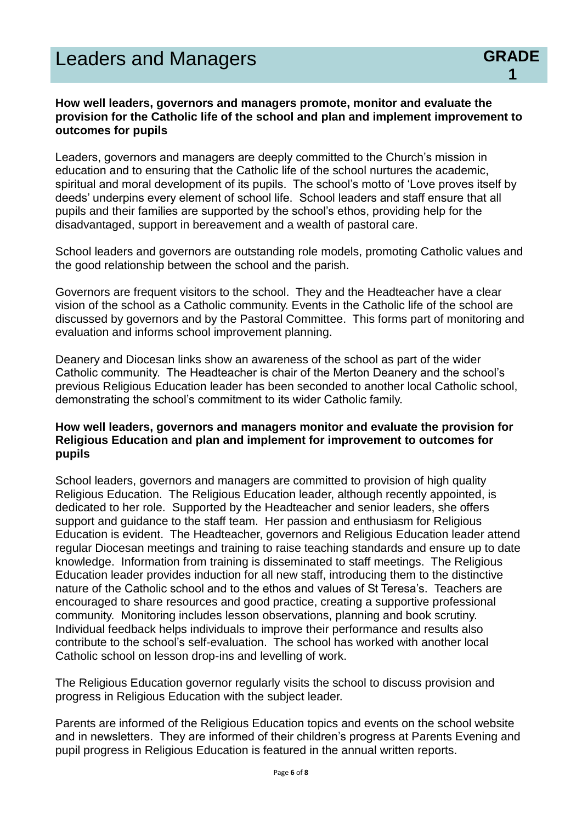### **How well leaders, governors and managers promote, monitor and evaluate the provision for the Catholic life of the school and plan and implement improvement to outcomes for pupils**

**1**

Leaders, governors and managers are deeply committed to the Church's mission in education and to ensuring that the Catholic life of the school nurtures the academic, spiritual and moral development of its pupils. The school's motto of 'Love proves itself by deeds' underpins every element of school life. School leaders and staff ensure that all pupils and their families are supported by the school's ethos, providing help for the disadvantaged, support in bereavement and a wealth of pastoral care.

School leaders and governors are outstanding role models, promoting Catholic values and the good relationship between the school and the parish.

Governors are frequent visitors to the school. They and the Headteacher have a clear vision of the school as a Catholic community. Events in the Catholic life of the school are discussed by governors and by the Pastoral Committee. This forms part of monitoring and evaluation and informs school improvement planning.

Deanery and Diocesan links show an awareness of the school as part of the wider Catholic community. The Headteacher is chair of the Merton Deanery and the school's previous Religious Education leader has been seconded to another local Catholic school, demonstrating the school's commitment to its wider Catholic family.

### **How well leaders, governors and managers monitor and evaluate the provision for Religious Education and plan and implement for improvement to outcomes for pupils**

School leaders, governors and managers are committed to provision of high quality Religious Education. The Religious Education leader, although recently appointed, is dedicated to her role. Supported by the Headteacher and senior leaders, she offers support and guidance to the staff team. Her passion and enthusiasm for Religious Education is evident. The Headteacher, governors and Religious Education leader attend regular Diocesan meetings and training to raise teaching standards and ensure up to date knowledge. Information from training is disseminated to staff meetings. The Religious Education leader provides induction for all new staff, introducing them to the distinctive nature of the Catholic school and to the ethos and values of St Teresa's. Teachers are encouraged to share resources and good practice, creating a supportive professional community. Monitoring includes lesson observations, planning and book scrutiny. Individual feedback helps individuals to improve their performance and results also contribute to the school's self-evaluation. The school has worked with another local Catholic school on lesson drop-ins and levelling of work.

The Religious Education governor regularly visits the school to discuss provision and progress in Religious Education with the subject leader.

Parents are informed of the Religious Education topics and events on the school website and in newsletters. They are informed of their children's progress at Parents Evening and pupil progress in Religious Education is featured in the annual written reports.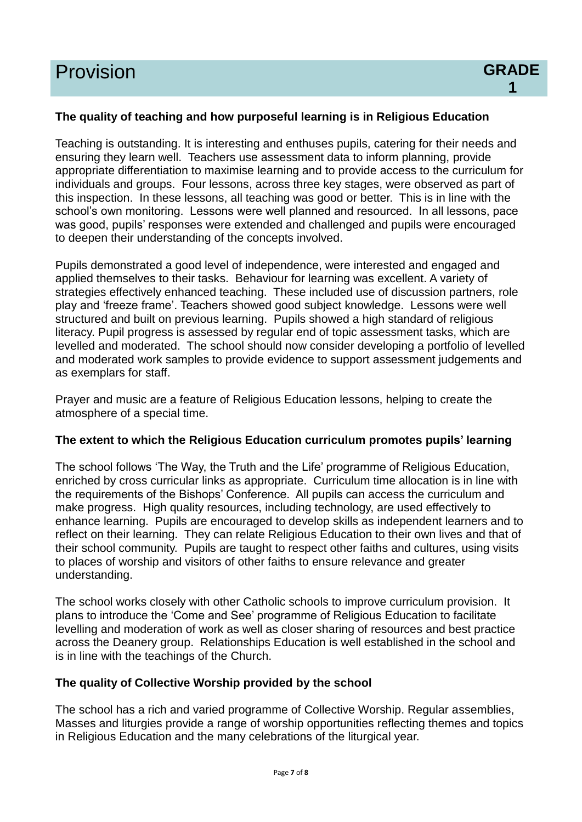#### **The quality of teaching and how purposeful learning is in Religious Education**

Teaching is outstanding. It is interesting and enthuses pupils, catering for their needs and ensuring they learn well. Teachers use assessment data to inform planning, provide appropriate differentiation to maximise learning and to provide access to the curriculum for individuals and groups. Four lessons, across three key stages, were observed as part of this inspection. In these lessons, all teaching was good or better. This is in line with the school's own monitoring. Lessons were well planned and resourced. In all lessons, pace was good, pupils' responses were extended and challenged and pupils were encouraged to deepen their understanding of the concepts involved.

Pupils demonstrated a good level of independence, were interested and engaged and applied themselves to their tasks. Behaviour for learning was excellent. A variety of strategies effectively enhanced teaching. These included use of discussion partners, role play and 'freeze frame'. Teachers showed good subject knowledge. Lessons were well structured and built on previous learning. Pupils showed a high standard of religious literacy. Pupil progress is assessed by regular end of topic assessment tasks, which are levelled and moderated. The school should now consider developing a portfolio of levelled and moderated work samples to provide evidence to support assessment judgements and as exemplars for staff.

Prayer and music are a feature of Religious Education lessons, helping to create the atmosphere of a special time.

#### **The extent to which the Religious Education curriculum promotes pupils' learning**

The school follows 'The Way, the Truth and the Life' programme of Religious Education, enriched by cross curricular links as appropriate. Curriculum time allocation is in line with the requirements of the Bishops' Conference. All pupils can access the curriculum and make progress. High quality resources, including technology, are used effectively to enhance learning. Pupils are encouraged to develop skills as independent learners and to reflect on their learning. They can relate Religious Education to their own lives and that of their school community. Pupils are taught to respect other faiths and cultures, using visits to places of worship and visitors of other faiths to ensure relevance and greater understanding.

The school works closely with other Catholic schools to improve curriculum provision. It plans to introduce the 'Come and See' programme of Religious Education to facilitate levelling and moderation of work as well as closer sharing of resources and best practice across the Deanery group. Relationships Education is well established in the school and is in line with the teachings of the Church.

#### **The quality of Collective Worship provided by the school**

The school has a rich and varied programme of Collective Worship. Regular assemblies, Masses and liturgies provide a range of worship opportunities reflecting themes and topics in Religious Education and the many celebrations of the liturgical year.